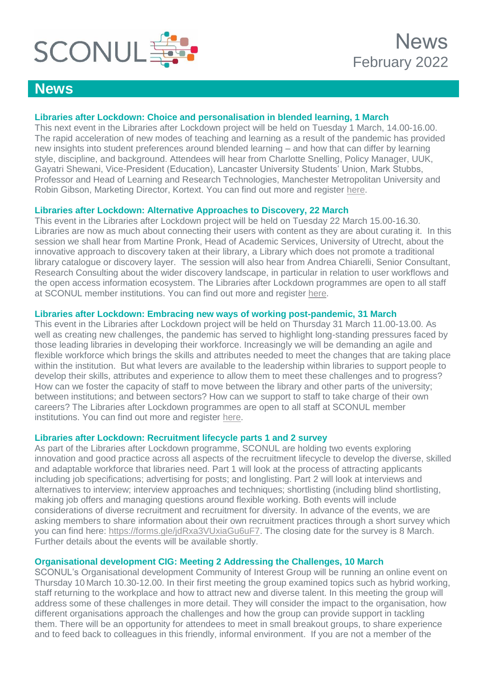

## **News**

## **Libraries after Lockdown: Choice and personalisation in blended learning, 1 March**

This next event in the Libraries after Lockdown project will be held on Tuesday 1 March, 14.00-16.00. The rapid acceleration of new modes of teaching and learning as a result of the pandemic has provided new insights into student preferences around blended learning – and how that can differ by learning style, discipline, and background. Attendees will hear from Charlotte Snelling, Policy Manager, UUK, Gayatri Shewani, Vice-President (Education), Lancaster University Students' Union, Mark Stubbs, Professor and Head of Learning and Research Technologies, Manchester Metropolitan University and Robin Gibson, Marketing Director, Kortext. You can find out more and register [here.](https://www.sconul.ac.uk/page/from-adaptive-practice-to-service-redesign#events)

## **Libraries after Lockdown: Alternative Approaches to Discovery, 22 March**

This event in the Libraries after Lockdown project will be held on Tuesday 22 March 15.00-16.30. Libraries are now as much about connecting their users with content as they are about curating it. In this session we shall hear from Martine Pronk, Head of Academic Services, University of Utrecht, about the innovative approach to discovery taken at their library, a Library which does not promote a traditional library catalogue or discovery layer. The session will also hear from Andrea Chiarelli, Senior Consultant, Research Consulting about the wider discovery landscape, in particular in relation to user workflows and the open access information ecosystem. The Libraries after Lockdown programmes are open to all staff at SCONUL member institutions. You can find out more and register [here.](https://www.sconul.ac.uk/page/embracing-disruption#Activity)

#### **Libraries after Lockdown: Embracing new ways of working post-pandemic, 31 March**

This event in the Libraries after Lockdown project will be held on Thursday 31 March 11.00-13.00. As well as creating new challenges, the pandemic has served to highlight long-standing pressures faced by those leading libraries in developing their workforce. Increasingly we will be demanding an agile and flexible workforce which brings the skills and attributes needed to meet the changes that are taking place within the institution. But what levers are available to the leadership within libraries to support people to develop their skills, attributes and experience to allow them to meet these challenges and to progress? How can we foster the capacity of staff to move between the library and other parts of the university; between institutions; and between sectors? How can we support to staff to take charge of their own careers? The Libraries after Lockdown programmes are open to all staff at SCONUL member institutions. You can find out more and register [here.](https://www.sconul.ac.uk/page/the-dynamic-workforce#events)

#### **Libraries after Lockdown: Recruitment lifecycle parts 1 and 2 survey**

As part of the Libraries after Lockdown programme, SCONUL are holding two events exploring innovation and good practice across all aspects of the recruitment lifecycle to develop the diverse, skilled and adaptable workforce that libraries need. Part 1 will look at the process of attracting applicants including job specifications; advertising for posts; and longlisting. Part 2 will look at interviews and alternatives to interview; interview approaches and techniques; shortlisting (including blind shortlisting, making job offers and managing questions around flexible working. Both events will include considerations of diverse recruitment and recruitment for diversity. In advance of the events, we are asking members to share information about their own recruitment practices through a short survey which you can find here: [https://forms.gle/jdRxa3VUxiaGu6uF7.](https://forms.gle/jdRxa3VUxiaGu6uF7) The closing date for the survey is 8 March. Further details about the events will be available shortly.

## **Organisational development CIG: Meeting 2 Addressing the Challenges, 10 March**

SCONUL's Organisational development Community of Interest Group will be running an online event on Thursday 10 March 10.30-12.00. In their first meeting the group examined topics such as hybrid working, staff returning to the workplace and how to attract new and diverse talent. In this meeting the group will address some of these challenges in more detail. They will consider the impact to the organisation, how different organisations approach the challenges and how the group can provide support in tackling them. There will be an opportunity for attendees to meet in small breakout groups, to share experience and to feed back to colleagues in this friendly, informal environment. If you are not a member of the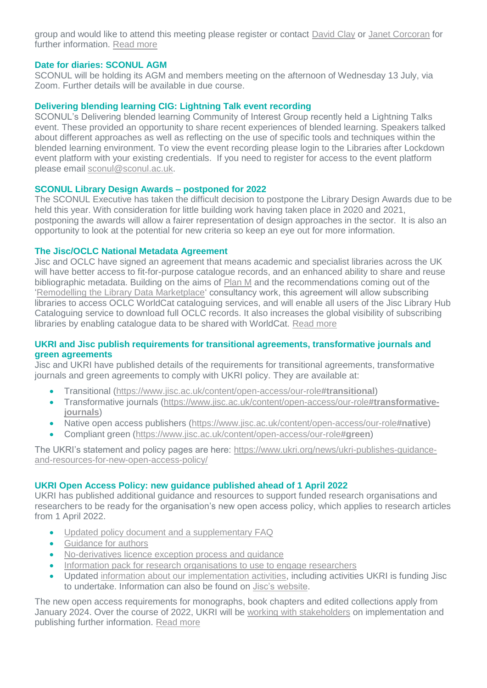group and would like to attend this meeting please register or contact [David Clay](mailto:d.p.clay@salford.ac.uk) or [Janet Corcoran](mailto:j.m.corcoran@imperial.ac.uk) for further information. [Read more](https://www.sconul.ac.uk/event/organisational-development-community-interest-group-meeting-2-addressing-the-challenges)

#### **Date for diaries: SCONUL AGM**

SCONUL will be holding its AGM and members meeting on the afternoon of Wednesday 13 July, via Zoom. Further details will be available in due course.

## **Delivering blending learning CIG: Lightning Talk event recording**

SCONUL's Delivering blended learning Community of Interest Group recently held a Lightning Talks event. These provided an opportunity to share recent experiences of blended learning. Speakers talked about different approaches as well as reflecting on the use of specific tools and techniques within the blended learning environment. To view the event recording please login to the Libraries after Lockdown event platform with your existing credentials. If you need to register for access to the event platform please email [sconul@sconul.ac.uk.](mailto:sconul@sconul.ac.uk)

#### **SCONUL Library Design Awards – postponed for 2022**

The SCONUL Executive has taken the difficult decision to postpone the Library Design Awards due to be held this year. With consideration for little building work having taken place in 2020 and 2021, postponing the awards will allow a fairer representation of design approaches in the sector. It is also an opportunity to look at the potential for new criteria so keep an eye out for more information.

## **The Jisc/OCLC National Metadata Agreement**

Jisc and OCLC have signed an agreement that means academic and specialist libraries across the UK will have better access to fit-for-purpose catalogue records, and an enhanced ability to share and reuse bibliographic metadata. Building on the aims of [Plan M](https://libraryservices.jiscinvolve.org/wp/2019/12/plan-m/) and the recommendations coming out of the ['Remodelling the Library Data Marketplace'](https://libraryservices.jiscinvolve.org/wp/2020/12/remodelling-the-library-data-marketplace-results/) consultancy work, this agreement will allow subscribing libraries to access OCLC WorldCat cataloguing services, and will enable all users of the Jisc Library Hub Cataloguing service to download full OCLC records. It also increases the global visibility of subscribing libraries by enabling catalogue data to be shared with WorldCat. [Read more](https://libraryservices.jiscinvolve.org/wp/2022/02/nma-agreement/)

#### **UKRI and Jisc publish requirements for transitional agreements, transformative journals and green agreements**

Jisc and UKRI have published details of the requirements for transitional agreements, transformative journals and green agreements to comply with UKRI policy. They are available at:

- Transitional [\(https://www.jisc.ac.uk/content/open-access/our-role](https://protect-eu.mimecast.com/s/qvHUC328YIAkVUg-6gg?domain=jisc.ac.uk)**#transitional**)
- Transformative journals [\(https://www.jisc.ac.uk/content/open-access/our-role](https://protect-eu.mimecast.com/s/VnXKC4RZWs0VGIxtl2E?domain=jisc.ac.uk)**#transformative[journals](https://protect-eu.mimecast.com/s/VnXKC4RZWs0VGIxtl2E?domain=jisc.ac.uk)**)
- Native open access publishers [\(https://www.jisc.ac.uk/content/open-access/our-role](https://protect-eu.mimecast.com/s/ZxrJC59ZAUjJOHyNCCV?domain=jisc.ac.uk)**#native**)
- Compliant green [\(https://www.jisc.ac.uk/content/open-access/our-role](https://protect-eu.mimecast.com/s/3-DjC6R1YsONxi52oFP?domain=jisc.ac.uk)**#green**)

The UKRI's statement and policy pages are here: [https://www.ukri.org/news/ukri-publishes-guidance](https://protect-eu.mimecast.com/s/x7aUC7LZDcpg9iqM9PO?domain=ukri.org/)[and-resources-for-new-open-access-policy/](https://protect-eu.mimecast.com/s/x7aUC7LZDcpg9iqM9PO?domain=ukri.org/)

## **UKRI Open Access Policy: new guidance published ahead of 1 April 2022**

UKRI has published additional guidance and resources to support funded research organisations and researchers to be ready for the organisation's new open access policy, which applies to research articles from 1 April 2022.

- [Updated policy document and a supplementary FAQ](https://www.ukri.org/publications/ukri-open-access-policy/)
- [Guidance for authors](https://www.ukri.org/manage-your-award/publishing-your-research-findings/making-your-research-publications-open-access/)
- [No-derivatives licence exception process and guidance](https://www.ukri.org/publications/no-derivatives-licence-exception/)
- [Information pack for research organisations to use to engage researchers](https://www.ukri.org/publications/ukri-open-access-policy-information-pack/)
- Updated [information about our implementation activities,](https://www.ukri.org/our-work/supporting-healthy-research-and-innovation-culture/open-research/open-access-policies-review/) including activities UKRI is funding Jisc to undertake. Information can also be found on [Jisc's website.](https://www.jisc.ac.uk/rd/projects/implementing-the-new-ukri-open-access-policy)

The new open access requirements for monographs, book chapters and edited collections apply from January 2024. Over the course of 2022, UKRI will be [working with stakeholders](https://www.ukri.org/our-work/supporting-healthy-research-and-innovation-culture/open-research/open-access-policies-review/) on implementation and publishing further information. [Read more](https://www.ukri.org/news/ukri-publishes-guidance-and-resources-for-new-open-access-policy/)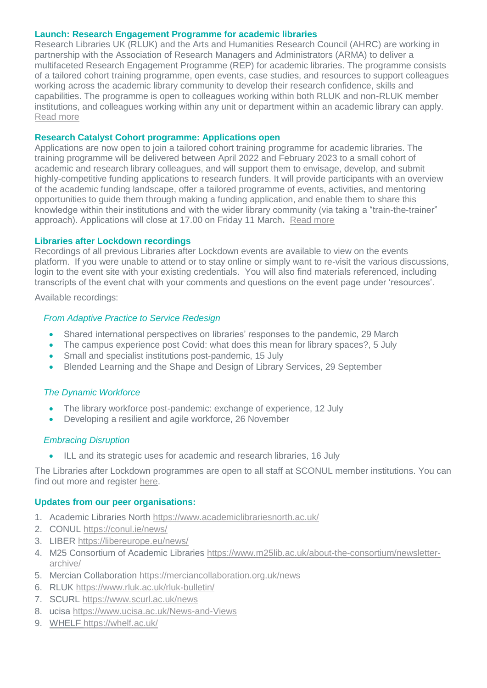#### **Launch: Research Engagement Programme for academic libraries**

Research Libraries UK (RLUK) and the Arts and Humanities Research Council (AHRC) are working in partnership with the Association of Research Managers and Administrators (ARMA) to deliver a multifaceted Research Engagement Programme (REP) for academic libraries. The programme consists of a tailored cohort training programme, open events, case studies, and resources to support colleagues working across the academic library community to develop their research confidence, skills and capabilities. The programme is open to colleagues working within both RLUK and non-RLUK member institutions, and colleagues working within any unit or department within an academic library can apply. [Read more](https://www.rluk.ac.uk/rluk-ahrc-rep/)

#### **Research Catalyst Cohort programme: Applications open**

Applications are now open to join a tailored cohort training programme for academic libraries. The training programme will be delivered between April 2022 and February 2023 to a small cohort of academic and research library colleagues, and will support them to envisage, develop, and submit highly-competitive funding applications to research funders. It will provide participants with an overview of the academic funding landscape, offer a tailored programme of events, activities, and mentoring opportunities to guide them through making a funding application, and enable them to share this knowledge within their institutions and with the wider library community (via taking a "train-the-trainer" approach). Applications will close at 17.00 on Friday 11 March**.** [Read more](https://www.rluk.ac.uk/research-catalyst-cohort/)

#### **Libraries after Lockdown recordings**

Recordings of all previous Libraries after Lockdown events are available to view on the events platform. If you were unable to attend or to stay online or simply want to re-visit the various discussions, login to the event site with your existing credentials. You will also find materials referenced, including transcripts of the event chat with your comments and questions on the event page under 'resources'.

Available recordings:

## *From Adaptive Practice to Service Redesign*

- Shared international perspectives on libraries' responses to the pandemic, 29 March
- The campus experience post Covid: what does this mean for library spaces?, 5 July
- Small and specialist institutions post-pandemic, 15 July
- Blended Learning and the Shape and Design of Library Services, 29 September

## *The Dynamic Workforce*

- The library workforce post-pandemic: exchange of experience, 12 July
- Developing a resilient and agile workforce, 26 November

## *Embracing Disruption*

ILL and its strategic uses for academic and research libraries, 16 July

The Libraries after Lockdown programmes are open to all staff at SCONUL member institutions. You can find out more and register [here.](https://www.sconul.ac.uk/page/libraries-after-lockdown-a-virtual-collaboration)

#### **Updates from our peer organisations:**

- 1. Academic Libraries North<https://www.academiclibrariesnorth.ac.uk/>
- 2. CONUL<https://conul.ie/news/>
- 3. LIBER<https://libereurope.eu/news/>
- 4. M25 Consortium of Academic Libraries [https://www.m25lib.ac.uk/about-the-consortium/newsletter](https://www.m25lib.ac.uk/about-the-consortium/newsletter-archive/)[archive/](https://www.m25lib.ac.uk/about-the-consortium/newsletter-archive/)
- 5. Mercian Collaboration<https://merciancollaboration.org.uk/news>
- 6. RLUK<https://www.rluk.ac.uk/rluk-bulletin/>
- 7. SCURL<https://www.scurl.ac.uk/news>
- 8. ucisa<https://www.ucisa.ac.uk/News-and-Views>
- 9. WHELF<https://whelf.ac.uk/>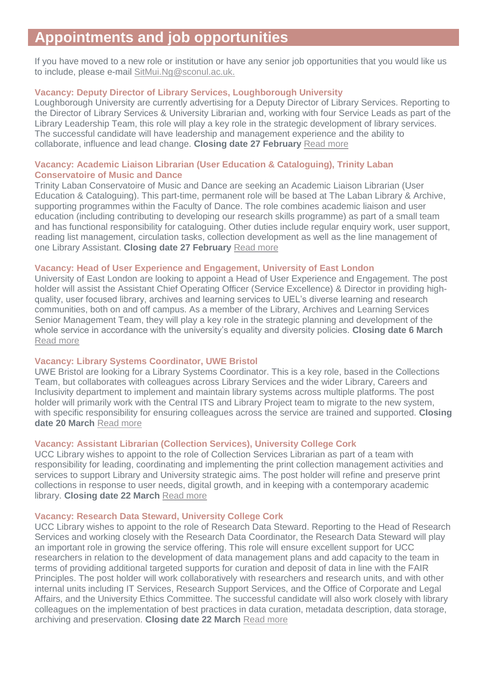# **Appointments and job opportunities**

If you have moved to a new role or institution or have any senior job opportunities that you would like us to include, please e-mail [SitMui.Ng@sconul.ac.uk.](mailto:SitMui.Ng@sconul.ac.uk)

## **Vacancy: Deputy Director of Library Services, Loughborough University**

Loughborough University are currently advertising for a Deputy Director of Library Services. Reporting to the Director of Library Services & University Librarian and, working with four Service Leads as part of the Library Leadership Team, this role will play a key role in the strategic development of library services. The successful candidate will have leadership and management experience and the ability to collaborate, influence and lead change. **Closing date 27 February** [Read more](https://www.lboro.ac.uk/services/hr/jobs/)

#### **Vacancy: Academic Liaison Librarian (User Education & Cataloguing), Trinity Laban Conservatoire of Music and Dance**

Trinity Laban Conservatoire of Music and Dance are seeking an Academic Liaison Librarian (User Education & Cataloguing). This part-time, permanent role will be based at The Laban Library & Archive, supporting programmes within the Faculty of Dance. The role combines academic liaison and user education (including contributing to developing our research skills programme) as part of a small team and has functional responsibility for cataloguing. Other duties include regular enquiry work, user support, reading list management, circulation tasks, collection development as well as the line management of one Library Assistant. **Closing date 27 February** [Read more](https://jobs.trinitylaban.ac.uk/Vacancy.aspx?ref=237-22)

#### **Vacancy: Head of User Experience and Engagement, University of East London**

University of East London are looking to appoint a Head of User Experience and Engagement. The post holder will assist the Assistant Chief Operating Officer (Service Excellence) & Director in providing highquality, user focused library, archives and learning services to UEL's diverse learning and research communities, both on and off campus. As a member of the Library, Archives and Learning Services Senior Management Team, they will play a key role in the strategic planning and development of the whole service in accordance with the university's equality and diversity policies. **Closing date 6 March** [Read more](https://jobs.uel.ac.uk/vacancy.aspx?ref=PS038S2022)

#### **Vacancy: Library Systems Coordinator, UWE Bristol**

UWE Bristol are looking for a Library Systems Coordinator. This is a key role, based in the Collections Team, but collaborates with colleagues across Library Services and the wider Library, Careers and Inclusivity department to implement and maintain library systems across multiple platforms. The post holder will primarily work with the Central ITS and Library Project team to migrate to the new system, with specific responsibility for ensuring colleagues across the service are trained and supported. **Closing date 20 March** [Read more](https://ce0164li.webitrent.com/ce0164li_webrecruitment/wrd/run/ETREC107GF.open?VACANCY_ID=595857HSfu&WVID=8433573cTb&LANG=USA)

## **Vacancy: Assistant Librarian (Collection Services), University College Cork**

UCC Library wishes to appoint to the role of Collection Services Librarian as part of a team with responsibility for leading, coordinating and implementing the print collection management activities and services to support Library and University strategic aims. The post holder will refine and preserve print collections in response to user needs, digital growth, and in keeping with a contemporary academic library. **Closing date 22 March** [Read more](https://my.corehr.com/pls/uccrecruit/erq_search_package.search_form?p_company=5023&p_internal_external=E)

#### **Vacancy: Research Data Steward, University College Cork**

UCC Library wishes to appoint to the role of Research Data Steward. Reporting to the Head of Research Services and working closely with the Research Data Coordinator, the Research Data Steward will play an important role in growing the service offering. This role will ensure excellent support for UCC researchers in relation to the development of data management plans and add capacity to the team in terms of providing additional targeted supports for curation and deposit of data in line with the FAIR Principles. The post holder will work collaboratively with researchers and research units, and with other internal units including IT Services, Research Support Services, and the Office of Corporate and Legal Affairs, and the University Ethics Committee. The successful candidate will also work closely with library colleagues on the implementation of best practices in data curation, metadata description, data storage, archiving and preservation. **Closing date 22 March** [Read more](https://my.corehr.com/pls/uccrecruit/erq_search_package.search_form?p_company=5023&p_internal_external=E)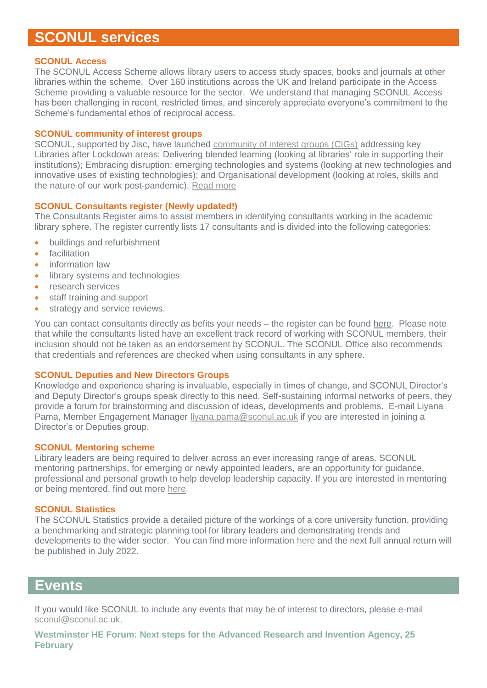# **SCONUL services**

#### **SCONUL Access**

The SCONUL Access Scheme allows library users to access study spaces, books and journals at other libraries within the scheme. Over 160 institutions across the UK and Ireland participate in the Access Scheme providing a valuable resource for the sector. We understand that managing SCONUL Access has been challenging in recent, restricted times, and sincerely appreciate everyone's commitment to the Scheme's fundamental ethos of reciprocal access.

#### **SCONUL community of interest groups**

SCONUL, supported by Jisc, have launched [community of interest groups \(CIGs\)](https://www.sconul.ac.uk/page/community-of-interest-groups) addressing key Libraries after Lockdown areas: Delivering blended learning (looking at libraries' role in supporting their institutions); Embracing disruption: emerging technologies and systems (looking at new technologies and innovative uses of existing technologies); and Organisational development (looking at roles, skills and the nature of our work post-pandemic). [Read more](https://www.sconul.ac.uk/page/community-of-interest-groups)

#### **SCONUL Consultants register (Newly updated!)**

The Consultants Register aims to assist members in identifying consultants working in the academic library sphere. The register currently lists 17 consultants and is divided into the following categories:

- buildings and refurbishment
- **•** facilitation
- information law
- library systems and technologies
- research services
- staff training and support
- **•** strategy and service reviews.

You can contact consultants directly as befits your needs – the register can be found [here.](https://www.sconul.ac.uk/publication/consultants-register) Please note that while the consultants listed have an excellent track record of working with SCONUL members, their inclusion should not be taken as an endorsement by SCONUL. The SCONUL Office also recommends that credentials and references are checked when using consultants in any sphere.

#### **SCONUL Deputies and New Directors Groups**

Knowledge and experience sharing is invaluable, especially in times of change, and SCONUL Director's and Deputy Director's groups speak directly to this need. Self-sustaining informal networks of peers, they provide a forum for brainstorming and discussion of ideas, developments and problems. E-mail Liyana Pama, Member Engagement Manager [liyana.pama@sconul.ac.uk](mailto:liyana.pama@sconul.ac.uk) if you are interested in joining a Director's or Deputies group.

#### **SCONUL Mentoring scheme**

Library leaders are being required to deliver across an ever increasing range of areas. SCONUL mentoring partnerships, for emerging or newly appointed leaders, are an opportunity for guidance, professional and personal growth to help develop leadership capacity. If you are interested in mentoring or being mentored, find out more [here.](https://www.sconul.ac.uk/page/sconul-mentoring)

#### **SCONUL Statistics**

The SCONUL Statistics provide a detailed picture of the workings of a core university function, providing a benchmarking and strategic planning tool for library leaders and demonstrating trends and developments to the wider sector. You can find more information [here](https://www.sconul.ac.uk/page/sconul-statistics) and the next full annual return will be published in July 2022.

## **Events**

If you would like SCONUL to include any events that may be of interest to directors, please e-mail [sconul@sconul.ac.uk.](mailto:sconul@sconul.ac.uk)

**[Westminster HE Forum: Next steps for the Advanced Research and Invention Agency, 25](https://www.westminsterforumprojects.co.uk/conference/ARIA-2022)  [February](https://www.westminsterforumprojects.co.uk/conference/ARIA-2022)**